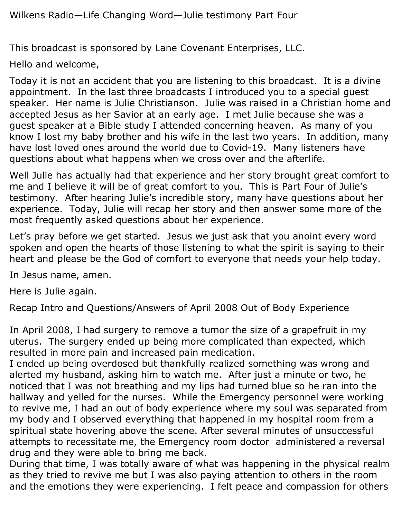This broadcast is sponsored by Lane Covenant Enterprises, LLC.

Hello and welcome,

Today it is not an accident that you are listening to this broadcast. It is a divine appointment. In the last three broadcasts I introduced you to a special guest speaker. Her name is Julie Christianson. Julie was raised in a Christian home and accepted Jesus as her Savior at an early age. I met Julie because she was a guest speaker at a Bible study I attended concerning heaven. As many of you know I lost my baby brother and his wife in the last two years. In addition, many have lost loved ones around the world due to Covid-19. Many listeners have questions about what happens when we cross over and the afterlife.

Well Julie has actually had that experience and her story brought great comfort to me and I believe it will be of great comfort to you. This is Part Four of Julie's testimony. After hearing Julie's incredible story, many have questions about her experience. Today, Julie will recap her story and then answer some more of the most frequently asked questions about her experience.

Let's pray before we get started. Jesus we just ask that you anoint every word spoken and open the hearts of those listening to what the spirit is saying to their heart and please be the God of comfort to everyone that needs your help today.

In Jesus name, amen.

Here is Julie again.

Recap Intro and Questions/Answers of April 2008 Out of Body Experience

In April 2008, I had surgery to remove a tumor the size of a grapefruit in my uterus. The surgery ended up being more complicated than expected, which resulted in more pain and increased pain medication.

I ended up being overdosed but thankfully realized something was wrong and alerted my husband, asking him to watch me. After just a minute or two, he noticed that I was not breathing and my lips had turned blue so he ran into the hallway and yelled for the nurses. While the Emergency personnel were working to revive me, I had an out of body experience where my soul was separated from my body and I observed everything that happened in my hospital room from a spiritual state hovering above the scene. After several minutes of unsuccessful attempts to recessitate me, the Emergency room doctor administered a reversal drug and they were able to bring me back.

During that time, I was totally aware of what was happening in the physical realm as they tried to revive me but I was also paying attention to others in the room and the emotions they were experiencing. I felt peace and compassion for others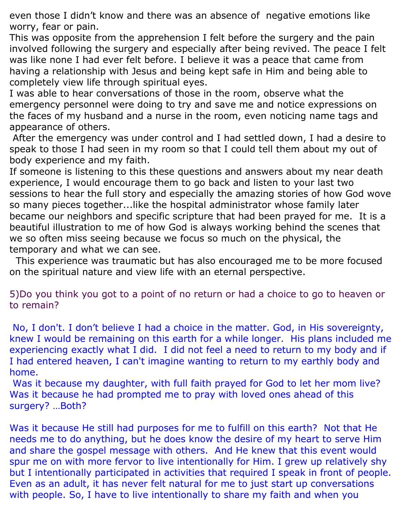even those I didn't know and there was an absence of negative emotions like worry, fear or pain.

This was opposite from the apprehension I felt before the surgery and the pain involved following the surgery and especially after being revived. The peace I felt was like none I had ever felt before. I believe it was a peace that came from having a relationship with Jesus and being kept safe in Him and being able to completely view life through spiritual eyes.

I was able to hear conversations of those in the room, observe what the emergency personnel were doing to try and save me and notice expressions on the faces of my husband and a nurse in the room, even noticing name tags and appearance of others.

After the emergency was under control and I had settled down, I had a desire to speak to those I had seen in my room so that I could tell them about my out of body experience and my faith.

If someone is listening to this these questions and answers about my near death experience, I would encourage them to go back and listen to your last two sessions to hear the full story and especially the amazing stories of how God wove so many pieces together...like the hospital administrator whose family later became our neighbors and specific scripture that had been prayed for me. It is a beautiful illustration to me of how God is always working behind the scenes that we so often miss seeing because we focus so much on the physical, the temporary and what we can see.

 This experience was traumatic but has also encouraged me to be more focused on the spiritual nature and view life with an eternal perspective.

5)Do you think you got to a point of no return or had a choice to go to heaven or to remain?

No, I don't. I don't believe I had a choice in the matter. God, in His sovereignty, knew I would be remaining on this earth for a while longer. His plans included me experiencing exactly what I did. I did not feel a need to return to my body and if I had entered heaven, I can't imagine wanting to return to my earthly body and home.

Was it because my daughter, with full faith prayed for God to let her mom live? Was it because he had prompted me to pray with loved ones ahead of this surgery? …Both?

Was it because He still had purposes for me to fulfill on this earth? Not that He needs me to do anything, but he does know the desire of my heart to serve Him and share the gospel message with others. And He knew that this event would spur me on with more fervor to live intentionally for Him. I grew up relatively shy but I intentionally participated in activities that required I speak in front of people. Even as an adult, it has never felt natural for me to just start up conversations with people. So, I have to live intentionally to share my faith and when you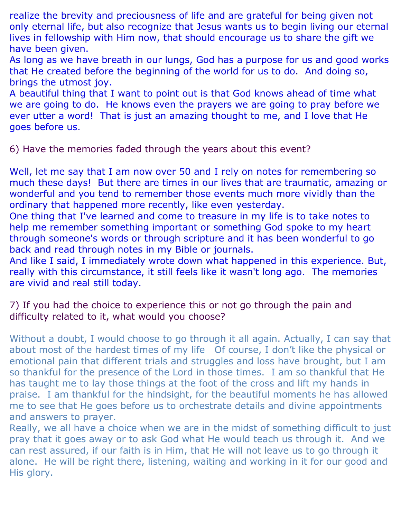realize the brevity and preciousness of life and are grateful for being given not only eternal life, but also recognize that Jesus wants us to begin living our eternal lives in fellowship with Him now, that should encourage us to share the gift we have been given.

As long as we have breath in our lungs, God has a purpose for us and good works that He created before the beginning of the world for us to do. And doing so, brings the utmost joy.

A beautiful thing that I want to point out is that God knows ahead of time what we are going to do. He knows even the prayers we are going to pray before we ever utter a word! That is just an amazing thought to me, and I love that He goes before us.

6) Have the memories faded through the years about this event?

Well, let me say that I am now over 50 and I rely on notes for remembering so much these days! But there are times in our lives that are traumatic, amazing or wonderful and you tend to remember those events much more vividly than the ordinary that happened more recently, like even yesterday.

One thing that I've learned and come to treasure in my life is to take notes to help me remember something important or something God spoke to my heart through someone's words or through scripture and it has been wonderful to go back and read through notes in my Bible or journals.

And like I said, I immediately wrote down what happened in this experience. But, really with this circumstance, it still feels like it wasn't long ago. The memories are vivid and real still today.

7) If you had the choice to experience this or not go through the pain and difficulty related to it, what would you choose?

Without a doubt, I would choose to go through it all again. Actually, I can say that about most of the hardest times of my life Of course, I don't like the physical or emotional pain that different trials and struggles and loss have brought, but I am so thankful for the presence of the Lord in those times. I am so thankful that He has taught me to lay those things at the foot of the cross and lift my hands in praise. I am thankful for the hindsight, for the beautiful moments he has allowed me to see that He goes before us to orchestrate details and divine appointments and answers to prayer.

Really, we all have a choice when we are in the midst of something difficult to just pray that it goes away or to ask God what He would teach us through it. And we can rest assured, if our faith is in Him, that He will not leave us to go through it alone. He will be right there, listening, waiting and working in it for our good and His glory.